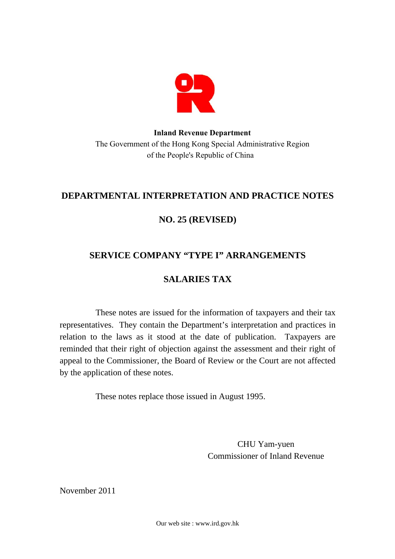

# **Inland Revenue Department**  The Government of the Hong Kong Special Administrative Region of the People's Republic of China

# **DEPARTMENTAL INTERPRETATION AND PRACTICE NOTES**

# **NO. 25 (REVISED)**

# **SERVICE COMPANY "TYPE I" ARRANGEMENTS**

# **SALARIES TAX**

These notes are issued for the information of taxpayers and their tax representatives. They contain the Department's interpretation and practices in relation to the laws as it stood at the date of publication. Taxpayers are reminded that their right of objection against the assessment and their right of appeal to the Commissioner, the Board of Review or the Court are not affected by the application of these notes.

These notes replace those issued in August 1995.

CHU Yam-yuen Commissioner of Inland Revenue

November 2011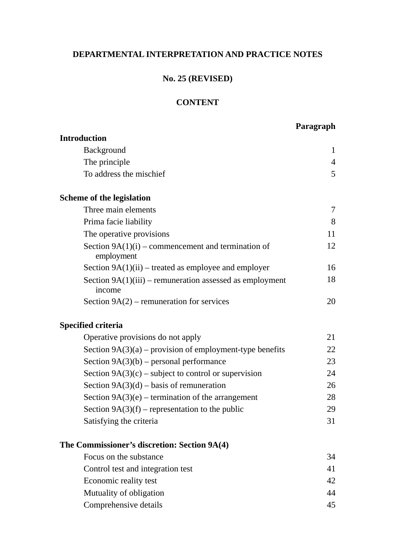# **DEPARTMENTAL INTERPRETATION AND PRACTICE NOTES**

# **No. 25 (REVISED)**

# **CONTENT**

# **Paragraph**

| <b>Introduction</b>                                                  |                |
|----------------------------------------------------------------------|----------------|
| Background                                                           | 1              |
| The principle                                                        | $\overline{4}$ |
| To address the mischief                                              | 5              |
| <b>Scheme of the legislation</b>                                     |                |
| Three main elements                                                  | 7              |
| Prima facie liability                                                | 8              |
| The operative provisions                                             | 11             |
| Section $9A(1)(i)$ – commencement and termination of<br>employment   | 12             |
| Section $9A(1)(ii)$ – treated as employee and employer               | 16             |
| Section $9A(1)(iii)$ – remuneration assessed as employment<br>income | 18             |
| Section $9A(2)$ – remuneration for services                          | 20             |
| <b>Specified criteria</b>                                            |                |
| Operative provisions do not apply                                    | 21             |
| Section $9A(3)(a)$ – provision of employment-type benefits           | 22             |
| Section $9A(3)(b)$ – personal performance                            | 23             |
| Section $9A(3)(c)$ – subject to control or supervision               | 24             |
| Section $9A(3)(d)$ – basis of remuneration                           | 26             |
| Section $9A(3)(e)$ – termination of the arrangement                  | 28             |
| Section $9A(3)(f)$ – representation to the public                    | 29             |
| Satisfying the criteria                                              | 31             |
| The Commissioner's discretion: Section 9A(4)                         |                |
| Focus on the substance                                               | 34             |
| Control test and integration test                                    | 41             |
| Economic reality test                                                | 42             |
| Mutuality of obligation                                              | 44             |
| Comprehensive details                                                | 45             |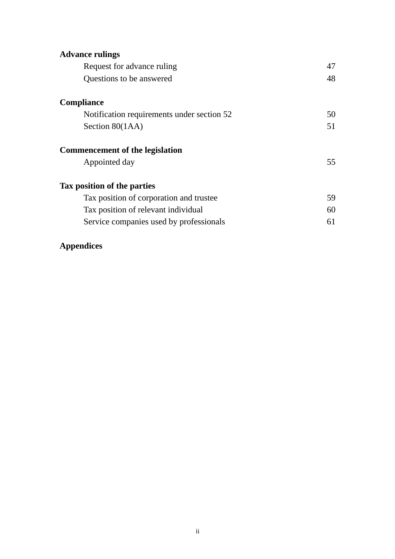| <b>Advance rulings</b>                     |    |
|--------------------------------------------|----|
| Request for advance ruling                 | 47 |
| Questions to be answered                   | 48 |
| <b>Compliance</b>                          |    |
| Notification requirements under section 52 | 50 |
| Section 80(1AA)                            | 51 |
| <b>Commencement of the legislation</b>     |    |
| Appointed day                              | 55 |
| Tax position of the parties                |    |
| Tax position of corporation and trustee    | 59 |
| Tax position of relevant individual        | 60 |
| Service companies used by professionals    | 61 |

# **Appendices**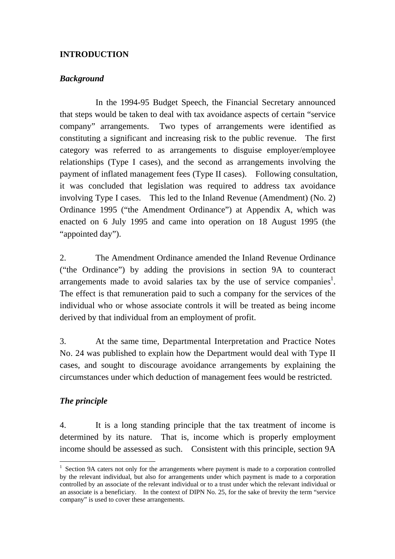#### **INTRODUCTION**

#### *Background*

In the 1994-95 Budget Speech, the Financial Secretary announced that steps would be taken to deal with tax avoidance aspects of certain "service company" arrangements. Two types of arrangements were identified as constituting a significant and increasing risk to the public revenue. The first category was referred to as arrangements to disguise employer/employee relationships (Type I cases), and the second as arrangements involving the payment of inflated management fees (Type II cases). Following consultation, it was concluded that legislation was required to address tax avoidance involving Type I cases. This led to the Inland Revenue (Amendment) (No. 2) Ordinance 1995 ("the Amendment Ordinance") at Appendix A, which was enacted on 6 July 1995 and came into operation on 18 August 1995 (the "appointed day").

2. The Amendment Ordinance amended the Inland Revenue Ordinance ("the Ordinance") by adding the provisions in section 9A to counteract arrangements made to avoid salaries tax by the use of service companies<sup>1</sup>. The effect is that remuneration paid to such a company for the services of the individual who or whose associate controls it will be treated as being income derived by that individual from an employment of profit.

3. At the same time, Departmental Interpretation and Practice Notes No. 24 was published to explain how the Department would deal with Type II cases, and sought to discourage avoidance arrangements by explaining the circumstances under which deduction of management fees would be restricted.

#### *The principle*

 $\overline{a}$ 

4. It is a long standing principle that the tax treatment of income is determined by its nature. That is, income which is properly employment income should be assessed as such. Consistent with this principle, section 9A

 $1$  Section 9A caters not only for the arrangements where payment is made to a corporation controlled controlled by an associate of the relevant individual or to a trust under which the relevant individual or by the relevant individual, but also for arrangements under which payment is made to a corporation an associate is a beneficiary. In the context of DIPN No. 25, for the sake of brevity the term "service company" is used to cover these arrangements.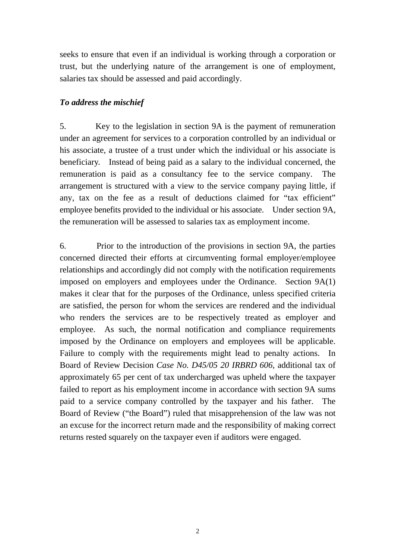seeks to ensure that even if an individual is working through a corporation or trust, but the underlying nature of the arrangement is one of employment, salaries tax should be assessed and paid accordingly.

#### *To address the mischief*

 beneficiary. Instead of being paid as a salary to the individual concerned, the employee benefits provided to the individual or his associate. Under section 9A, 5. Key to the legislation in section 9A is the payment of remuneration under an agreement for services to a corporation controlled by an individual or his associate, a trustee of a trust under which the individual or his associate is remuneration is paid as a consultancy fee to the service company. The arrangement is structured with a view to the service company paying little, if any, tax on the fee as a result of deductions claimed for "tax efficient" the remuneration will be assessed to salaries tax as employment income.

6. Prior to the introduction of the provisions in section 9A, the parties concerned directed their efforts at circumventing formal employer/employee relationships and accordingly did not comply with the notification requirements imposed on employers and employees under the Ordinance. Section 9A(1) makes it clear that for the purposes of the Ordinance, unless specified criteria are satisfied, the person for whom the services are rendered and the individual who renders the services are to be respectively treated as employer and employee. As such, the normal notification and compliance requirements imposed by the Ordinance on employers and employees will be applicable. Failure to comply with the requirements might lead to penalty actions. In Board of Review Decision *Case No. D45/05 20 IRBRD 606*, additional tax of approximately 65 per cent of tax undercharged was upheld where the taxpayer failed to report as his employment income in accordance with section 9A sums paid to a service company controlled by the taxpayer and his father. The Board of Review ("the Board") ruled that misapprehension of the law was not an excuse for the incorrect return made and the responsibility of making correct returns rested squarely on the taxpayer even if auditors were engaged.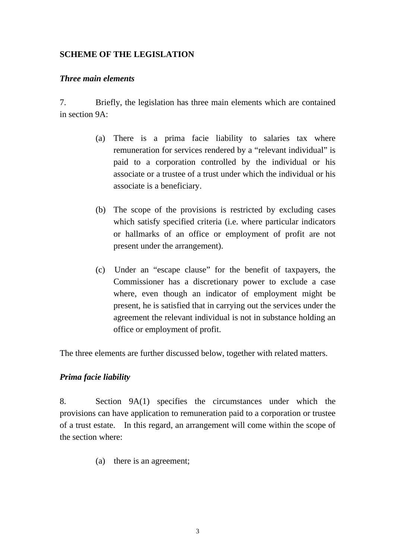### **SCHEME OF THE LEGISLATION**

#### *Three main elements*

7. Briefly, the legislation has three main elements which are contained in section 9A:

- (a) There is a prima facie liability to salaries tax where remuneration for services rendered by a "relevant individual" is paid to a corporation controlled by the individual or his associate or a trustee of a trust under which the individual or his associate is a beneficiary.
- (b) The scope of the provisions is restricted by excluding cases which satisfy specified criteria (*i.e.* where particular indicators or hallmarks of an office or employment of profit are not present under the arrangement).
- (c) Under an "escape clause" for the benefit of taxpayers, the Commissioner has a discretionary power to exclude a case where, even though an indicator of employment might be present, he is satisfied that in carrying out the services under the agreement the relevant individual is not in substance holding an office or employment of profit.

The three elements are further discussed below, together with related matters.

#### *Prima facie liability*

8. Section 9A(1) specifies the circumstances under which the provisions can have application to remuneration paid to a corporation or trustee of a trust estate. In this regard, an arrangement will come within the scope of the section where:

(a) there is an agreement;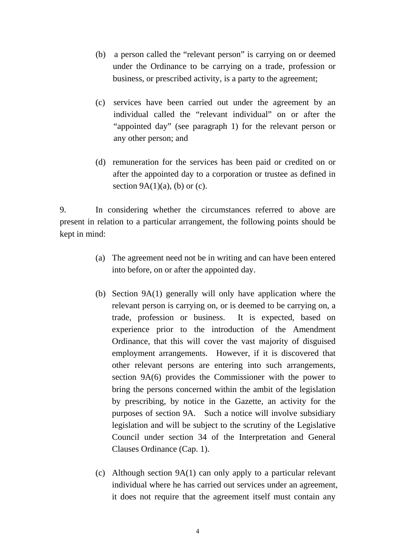- <span id="page-6-0"></span> (b) a person called the "relevant person" is carrying on or deemed under the Ordinance to be carrying on a trade, profession or business, or prescribed activity, is a party to the agreement;
- (c) services have been carried out under the agreement by an individual called the "relevant individual" on or after the "appointed day" (see paragraph 1) for the relevant person or any other person; and
- (d) remuneration for the services has been paid or credited on or after the appointed day to a corporation or trustee as defined in section  $9A(1)(a)$ , (b) or (c).

9. In considering whether the circumstances referred to above are present in relation to a particular arrangement, the following points should be kept in mind:

- (a) The agreement need not be in writing and can have been entered into before, on or after the appointed day.
- (b) Section 9A(1) generally will only have application where the relevant person is carrying on, or is deemed to be carrying on, a trade, profession or business. It is expected, based on experience prior to the introduction of the Amendment Ordinance, that this will cover the vast majority of disguised employment arrangements. However, if it is discovered that other relevant persons are entering into such arrangements, section 9A(6) provides the Commissioner with the power to bring the persons concerned within the ambit of the legislation by prescribing, by notice in the Gazette, an activity for the purposes of section 9A. Such a notice will involve subsidiary legislation and will be subject to the scrutiny of the Legislative Council under section 34 of the Interpretation and General Clauses Ordinance (Cap. 1).
- (c) Although section 9A(1) can only apply to a particular relevant individual where he has carried out services under an agreement, it does not require that the agreement itself must contain any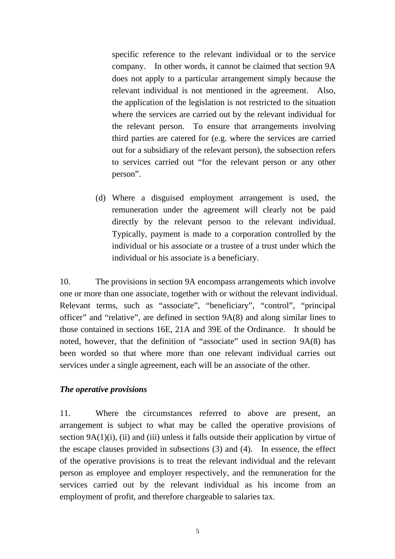<span id="page-7-0"></span>specific reference to the relevant individual or to the service company. In other words, it cannot be claimed that section 9A does not apply to a particular arrangement simply because the relevant individual is not mentioned in the agreement. Also, the application of the legislation is not restricted to the situation where the services are carried out by the relevant individual for the relevant person. To ensure that arrangements involving third parties are catered for (e.g. where the services are carried out for a subsidiary of the relevant person), the subsection refers to services carried out "for the relevant person or any other person".

 directly by the relevant person to the relevant individual. Typically, payment is made to a corporation controlled by the (d) Where a disguised employment arrangement is used, the remuneration under the agreement will clearly not be paid individual or his associate or a trustee of a trust under which the individual or his associate is a beneficiary.

10. The provisions in section 9A encompass arrangements which involve one or more than one associate, together with or without the relevant individual. Relevant terms, such as "associate", "beneficiary", "control", "principal officer" and "relative", are defined in section 9A(8) and along similar lines to those contained in sections 16E, 21A and 39E of the Ordinance. It should be noted, however, that the definition of "associate" used in section 9A(8) has been worded so that where more than one relevant individual carries out services under a single agreement, each will be an associate of the other.

#### *The operative provisions*

11. Where the circumstances referred to above are present, an arrangement is subject to what may be called the operative provisions of section 9A(1)(i), (ii) and (iii) unless it falls outside their application by virtue of the escape clauses provided in subsections (3) and (4). In essence, the effect of the operative provisions is to treat the relevant individual and the relevant person as employee and employer respectively, and the remuneration for the services carried out by the relevant individual as his income from an employment of profit, and therefore chargeable to salaries tax.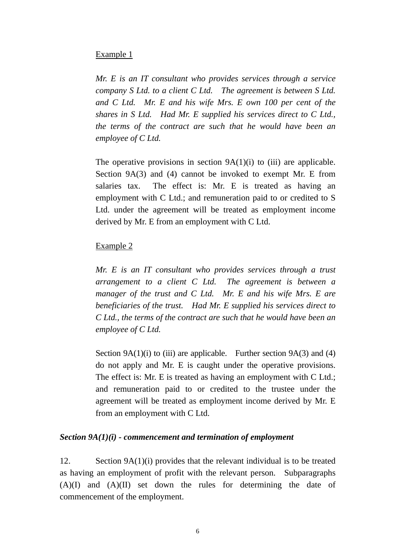#### Example 1

 *and C Ltd. Mr. E and his wife Mrs. E own 100 per cent of the Mr. E is an IT consultant who provides services through a service company S Ltd. to a client C Ltd. The agreement is between S Ltd. shares in S Ltd. Had Mr. E supplied his services direct to C Ltd., the terms of the contract are such that he would have been an employee of C Ltd.* 

The operative provisions in section  $9A(1)(i)$  to (iii) are applicable. Section 9A(3) and (4) cannot be invoked to exempt Mr. E from salaries tax. The effect is: Mr. E is treated as having an employment with C Ltd.; and remuneration paid to or credited to S Ltd. under the agreement will be treated as employment income derived by Mr. E from an employment with C Ltd.

#### Example 2

*Mr. E is an IT consultant who provides services through a trust arrangement to a client C Ltd. The agreement is between a manager of the trust and C Ltd. Mr. E and his wife Mrs. E are beneficiaries of the trust. Had Mr. E supplied his services direct to C Ltd., the terms of the contract are such that he would have been an employee of C Ltd.* 

Section  $9A(1)(i)$  to (iii) are applicable. Further section  $9A(3)$  and (4) do not apply and Mr. E is caught under the operative provisions. The effect is: Mr. E is treated as having an employment with C Ltd.; and remuneration paid to or credited to the trustee under the agreement will be treated as employment income derived by Mr. E from an employment with C Ltd.

#### *Section 9A(1)(i) - commencement and termination of employment*

12. Section 9A(1)(i) provides that the relevant individual is to be treated as having an employment of profit with the relevant person. Subparagraphs (A)(I) and (A)(II) set down the rules for determining the date of commencement of the employment.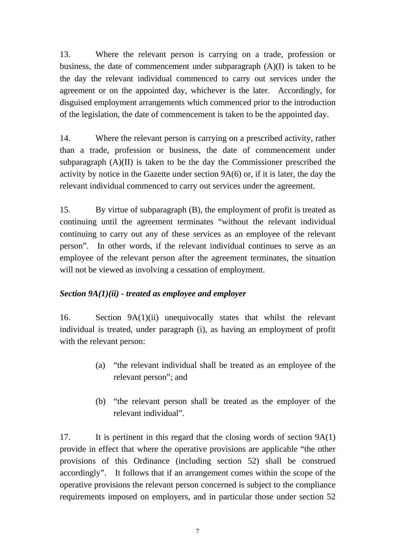<span id="page-9-0"></span>13. Where the relevant person is carrying on a trade, profession or business, the date of commencement under subparagraph (A)(I) is taken to be the day the relevant individual commenced to carry out services under the agreement or on the appointed day, whichever is the later. Accordingly, for disguised employment arrangements which commenced prior to the introduction of the legislation, the date of commencement is taken to be the appointed day.

14. Where the relevant person is carrying on a prescribed activity, rather than a trade, profession or business, the date of commencement under subparagraph (A)(II) is taken to be the day the Commissioner prescribed the activity by notice in the Gazette under section 9A(6) or, if it is later, the day the relevant individual commenced to carry out services under the agreement.

15. By virtue of subparagraph (B), the employment of profit is treated as continuing until the agreement terminates "without the relevant individual continuing to carry out any of these services as an employee of the relevant person". In other words, if the relevant individual continues to serve as an employee of the relevant person after the agreement terminates, the situation will not be viewed as involving a cessation of employment.

# *Section 9A(1)(ii) - treated as employee and employer*

16. Section 9A(1)(ii) unequivocally states that whilst the relevant individual is treated, under paragraph (i), as having an employment of profit with the relevant person:

- (a) "the relevant individual shall be treated as an employee of the relevant person"; and
- (b) "the relevant person shall be treated as the employer of the relevant individual".

17. It is pertinent in this regard that the closing words of section 9A(1) provide in effect that where the operative provisions are applicable "the other provisions of this Ordinance (including section 52) shall be construed accordingly". It follows that if an arrangement comes within the scope of the operative provisions the relevant person concerned is subject to the compliance requirements imposed on employers, and in particular those under section 52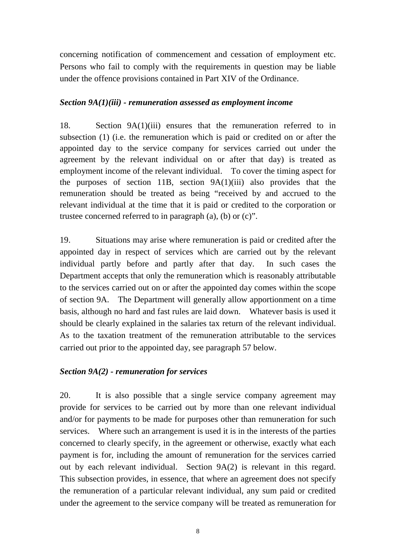<span id="page-10-0"></span> concerning notification of commencement and cessation of employment etc. Persons who fail to comply with the requirements in question may be liable under the offence provisions contained in Part XIV of the Ordinance.

#### *Section 9A(1)(iii) - remuneration assessed as employment income*

 appointed day to the service company for services carried out under the employment income of the relevant individual. To cover the timing aspect for 18. Section 9A(1)(iii) ensures that the remuneration referred to in subsection (1) (i.e. the remuneration which is paid or credited on or after the agreement by the relevant individual on or after that day) is treated as the purposes of section 11B, section 9A(1)(iii) also provides that the remuneration should be treated as being "received by and accrued to the relevant individual at the time that it is paid or credited to the corporation or trustee concerned referred to in paragraph (a), (b) or (c)".

 appointed day in respect of services which are carried out by the relevant of section 9A. The Department will generally allow apportionment on a time basis, although no hard and fast rules are laid down. Whatever basis is used it 19. Situations may arise where remuneration is paid or credited after the individual partly before and partly after that day. In such cases the Department accepts that only the remuneration which is reasonably attributable to the services carried out on or after the appointed day comes within the scope should be clearly explained in the salaries tax return of the relevant individual. As to the taxation treatment of the remuneration attributable to the services carried out prior to the appointed day, see paragraph 57 below.

#### *Section 9A(2) - remuneration for services*

 20. It is also possible that a single service company agreement may concerned to clearly specify, in the agreement or otherwise, exactly what each the remuneration of a particular relevant individual, any sum paid or credited provide for services to be carried out by more than one relevant individual and/or for payments to be made for purposes other than remuneration for such services. Where such an arrangement is used it is in the interests of the parties payment is for, including the amount of remuneration for the services carried out by each relevant individual. Section 9A(2) is relevant in this regard. This subsection provides, in essence, that where an agreement does not specify under the agreement to the service company will be treated as remuneration for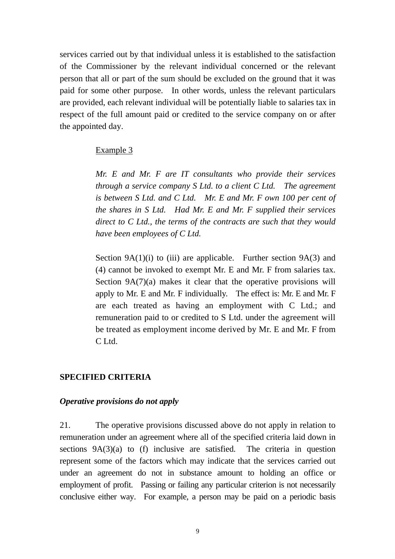services carried out by that individual unless it is established to the satisfaction of the Commissioner by the relevant individual concerned or the relevant person that all or part of the sum should be excluded on the ground that it was paid for some other purpose. In other words, unless the relevant particulars are provided, each relevant individual will be potentially liable to salaries tax in respect of the full amount paid or credited to the service company on or after the appointed day.

#### Example 3

*Mr. E and Mr. F are IT consultants who provide their services through a service company S Ltd. to a client C Ltd. The agreement is between S Ltd. and C Ltd. Mr. E and Mr. F own 100 per cent of the shares in S Ltd. Had Mr. E and Mr. F supplied their services direct to C Ltd., the terms of the contracts are such that they would have been employees of C Ltd.* 

 apply to Mr. E and Mr. F individually. The effect is: Mr. E and Mr. F be treated as employment income derived by Mr. E and Mr. F from Section  $9A(1)(i)$  to (iii) are applicable. Further section  $9A(3)$  and (4) cannot be invoked to exempt Mr. E and Mr. F from salaries tax. Section 9A(7)(a) makes it clear that the operative provisions will are each treated as having an employment with C Ltd.; and remuneration paid to or credited to S Ltd. under the agreement will C Ltd.

#### **SPECIFIED CRITERIA**

#### *Operative provisions do not apply*

21. The operative provisions discussed above do not apply in relation to remuneration under an agreement where all of the specified criteria laid down in sections 9A(3)(a) to (f) inclusive are satisfied. The criteria in question represent some of the factors which may indicate that the services carried out under an agreement do not in substance amount to holding an office or employment of profit. Passing or failing any particular criterion is not necessarily conclusive either way. For example, a person may be paid on a periodic basis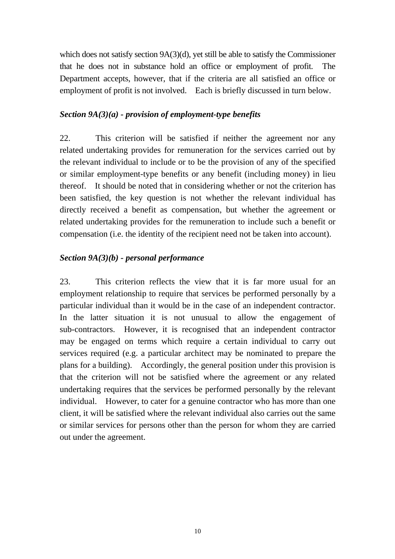which does not satisfy section 9A(3)(d), yet still be able to satisfy the Commissioner that he does not in substance hold an office or employment of profit. The Department accepts, however, that if the criteria are all satisfied an office or employment of profit is not involved. Each is briefly discussed in turn below.

### *Section 9A(3)(a) - provision of employment-type benefits*

22. This criterion will be satisfied if neither the agreement nor any related undertaking provides for remuneration for the services carried out by the relevant individual to include or to be the provision of any of the specified or similar employment-type benefits or any benefit (including money) in lieu thereof. It should be noted that in considering whether or not the criterion has been satisfied, the key question is not whether the relevant individual has directly received a benefit as compensation, but whether the agreement or related undertaking provides for the remuneration to include such a benefit or compensation (i.e. the identity of the recipient need not be taken into account).

# *Section 9A(3)(b) - personal performance*

23. This criterion reflects the view that it is far more usual for an employment relationship to require that services be performed personally by a particular individual than it would be in the case of an independent contractor. In the latter situation it is not unusual to allow the engagement of sub-contractors. However, it is recognised that an independent contractor may be engaged on terms which require a certain individual to carry out services required (e.g. a particular architect may be nominated to prepare the plans for a building). Accordingly, the general position under this provision is that the criterion will not be satisfied where the agreement or any related undertaking requires that the services be performed personally by the relevant individual. However, to cater for a genuine contractor who has more than one client, it will be satisfied where the relevant individual also carries out the same or similar services for persons other than the person for whom they are carried out under the agreement.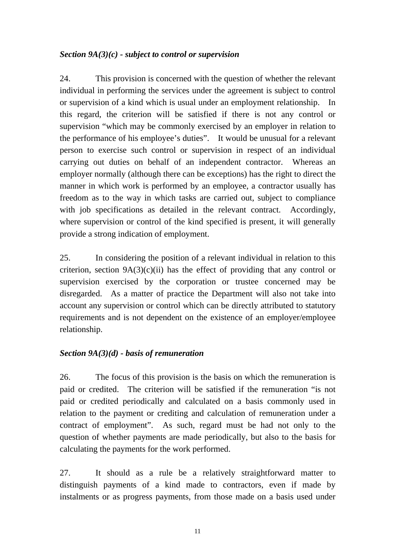### <span id="page-13-0"></span>*Section 9A(3)(c) - subject to control or supervision*

24. This provision is concerned with the question of whether the relevant individual in performing the services under the agreement is subject to control or supervision of a kind which is usual under an employment relationship. In this regard, the criterion will be satisfied if there is not any control or supervision "which may be commonly exercised by an employer in relation to the performance of his employee's duties". It would be unusual for a relevant person to exercise such control or supervision in respect of an individual carrying out duties on behalf of an independent contractor. Whereas an employer normally (although there can be exceptions) has the right to direct the manner in which work is performed by an employee, a contractor usually has freedom as to the way in which tasks are carried out, subject to compliance with job specifications as detailed in the relevant contract. Accordingly, where supervision or control of the kind specified is present, it will generally provide a strong indication of employment.

25. In considering the position of a relevant individual in relation to this criterion, section  $9A(3)(c)(ii)$  has the effect of providing that any control or supervision exercised by the corporation or trustee concerned may be disregarded. As a matter of practice the Department will also not take into account any supervision or control which can be directly attributed to statutory requirements and is not dependent on the existence of an employer/employee relationship.

# *Section 9A(3)(d) - basis of remuneration*

26. The focus of this provision is the basis on which the remuneration is paid or credited. The criterion will be satisfied if the remuneration "is not paid or credited periodically and calculated on a basis commonly used in relation to the payment or crediting and calculation of remuneration under a contract of employment". As such, regard must be had not only to the question of whether payments are made periodically, but also to the basis for calculating the payments for the work performed.

27. It should as a rule be a relatively straightforward matter to distinguish payments of a kind made to contractors, even if made by instalments or as progress payments, from those made on a basis used under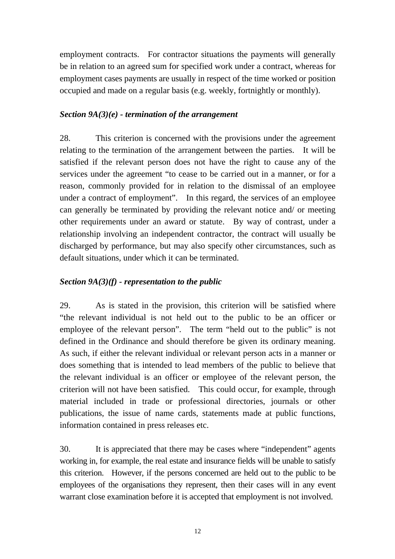<span id="page-14-0"></span>employment contracts. For contractor situations the payments will generally be in relation to an agreed sum for specified work under a contract, whereas for employment cases payments are usually in respect of the time worked or position occupied and made on a regular basis (e.g. weekly, fortnightly or monthly).

#### *Section 9A(3)(e) - termination of the arrangement*

28. This criterion is concerned with the provisions under the agreement relating to the termination of the arrangement between the parties. It will be satisfied if the relevant person does not have the right to cause any of the services under the agreement "to cease to be carried out in a manner, or for a reason, commonly provided for in relation to the dismissal of an employee under a contract of employment". In this regard, the services of an employee can generally be terminated by providing the relevant notice and/ or meeting other requirements under an award or statute. By way of contrast, under a relationship involving an independent contractor, the contract will usually be discharged by performance, but may also specify other circumstances, such as default situations, under which it can be terminated.

### *Section 9A(3)(f) - representation to the public*

29. As is stated in the provision, this criterion will be satisfied where "the relevant individual is not held out to the public to be an officer or employee of the relevant person". The term "held out to the public" is not defined in the Ordinance and should therefore be given its ordinary meaning. As such, if either the relevant individual or relevant person acts in a manner or does something that is intended to lead members of the public to believe that the relevant individual is an officer or employee of the relevant person, the criterion will not have been satisfied. This could occur, for example, through material included in trade or professional directories, journals or other publications, the issue of name cards, statements made at public functions, information contained in press releases etc.

30. It is appreciated that there may be cases where "independent" agents working in, for example, the real estate and insurance fields will be unable to satisfy this criterion. However, if the persons concerned are held out to the public to be employees of the organisations they represent, then their cases will in any event warrant close examination before it is accepted that employment is not involved.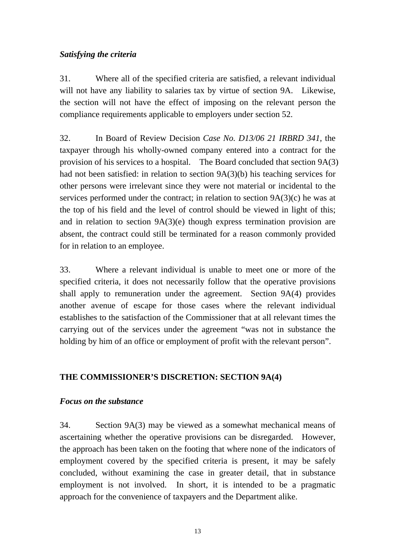### *Satisfying the criteria*

31. Where all of the specified criteria are satisfied, a relevant individual will not have any liability to salaries tax by virtue of section 9A. Likewise, the section will not have the effect of imposing on the relevant person the compliance requirements applicable to employers under section 52.

32. In Board of Review Decision *Case No. D13/06 21 IRBRD 341*, the taxpayer through his wholly-owned company entered into a contract for the provision of his services to a hospital. The Board concluded that section 9A(3) had not been satisfied: in relation to section 9A(3)(b) his teaching services for other persons were irrelevant since they were not material or incidental to the services performed under the contract; in relation to section 9A(3)(c) he was at the top of his field and the level of control should be viewed in light of this; and in relation to section 9A(3)(e) though express termination provision are absent, the contract could still be terminated for a reason commonly provided for in relation to an employee.

33. Where a relevant individual is unable to meet one or more of the specified criteria, it does not necessarily follow that the operative provisions shall apply to remuneration under the agreement. Section 9A(4) provides another avenue of escape for those cases where the relevant individual establishes to the satisfaction of the Commissioner that at all relevant times the carrying out of the services under the agreement "was not in substance the holding by him of an office or employment of profit with the relevant person".

# **THE COMMISSIONER'S DISCRETION: SECTION 9A(4)**

#### *Focus on the substance*

34. Section 9A(3) may be viewed as a somewhat mechanical means of ascertaining whether the operative provisions can be disregarded. However, the approach has been taken on the footing that where none of the indicators of employment covered by the specified criteria is present, it may be safely concluded, without examining the case in greater detail, that in substance employment is not involved. In short, it is intended to be a pragmatic approach for the convenience of taxpayers and the Department alike.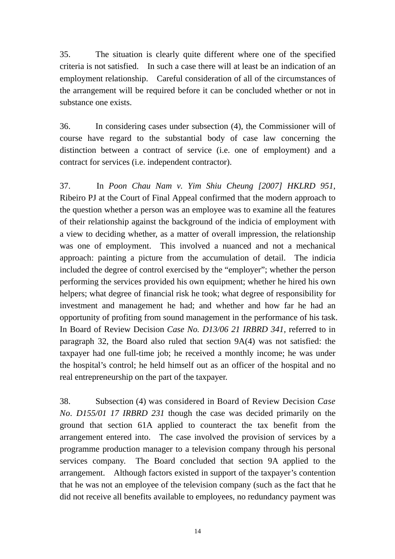35. The situation is clearly quite different where one of the specified criteria is not satisfied. In such a case there will at least be an indication of an employment relationship. Careful consideration of all of the circumstances of the arrangement will be required before it can be concluded whether or not in substance one exists.

36. In considering cases under subsection (4), the Commissioner will of course have regard to the substantial body of case law concerning the distinction between a contract of service (i.e. one of employment) and a contract for services (i.e. independent contractor).

37. In *Poon Chau Nam v. Yim Shiu Cheung [2007] HKLRD 951*, Ribeiro PJ at the Court of Final Appeal confirmed that the modern approach to the question whether a person was an employee was to examine all the features of their relationship against the background of the indicia of employment with a view to deciding whether, as a matter of overall impression, the relationship was one of employment. This involved a nuanced and not a mechanical approach: painting a picture from the accumulation of detail. The indicia included the degree of control exercised by the "employer"; whether the person performing the services provided his own equipment; whether he hired his own helpers; what degree of financial risk he took; what degree of responsibility for investment and management he had; and whether and how far he had an opportunity of profiting from sound management in the performance of his task. In Board of Review Decision *Case No. D13/06 21 IRBRD 341*, referred to in paragraph 32, the Board also ruled that section 9A(4) was not satisfied: the taxpayer had one full-time job; he received a monthly income; he was under the hospital's control; he held himself out as an officer of the hospital and no real entrepreneurship on the part of the taxpayer.

38. Subsection (4) was considered in Board of Review Decision *Case No. D155/01 17 IRBRD 231* though the case was decided primarily on the ground that section 61A applied to counteract the tax benefit from the arrangement entered into. The case involved the provision of services by a programme production manager to a television company through his personal services company. The Board concluded that section 9A applied to the arrangement. Although factors existed in support of the taxpayer's contention that he was not an employee of the television company (such as the fact that he did not receive all benefits available to employees, no redundancy payment was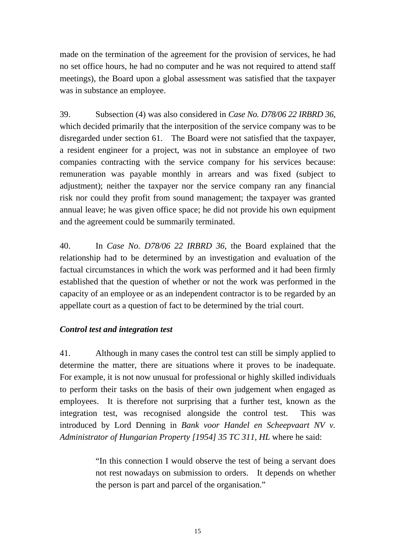made on the termination of the agreement for the provision of services, he had no set office hours, he had no computer and he was not required to attend staff meetings), the Board upon a global assessment was satisfied that the taxpayer was in substance an employee.

39. Subsection (4) was also considered in *Case No. D78/06 22 IRBRD 36*, which decided primarily that the interposition of the service company was to be disregarded under section 61. The Board were not satisfied that the taxpayer, a resident engineer for a project, was not in substance an employee of two companies contracting with the service company for his services because: remuneration was payable monthly in arrears and was fixed (subject to adjustment); neither the taxpayer nor the service company ran any financial risk nor could they profit from sound management; the taxpayer was granted annual leave; he was given office space; he did not provide his own equipment and the agreement could be summarily terminated.

40. In *Case No. D78/06 22 IRBRD 36*, the Board explained that the relationship had to be determined by an investigation and evaluation of the factual circumstances in which the work was performed and it had been firmly established that the question of whether or not the work was performed in the capacity of an employee or as an independent contractor is to be regarded by an appellate court as a question of fact to be determined by the trial court.

# *Control test and integration test*

41. Although in many cases the control test can still be simply applied to determine the matter, there are situations where it proves to be inadequate. For example, it is not now unusual for professional or highly skilled individuals to perform their tasks on the basis of their own judgement when engaged as employees. It is therefore not surprising that a further test, known as the integration test, was recognised alongside the control test. This was introduced by Lord Denning in *Bank voor Handel en Scheepvaart NV v. Administrator of Hungarian Property [1954] 35 TC 311, HL* where he said:

> "In this connection I would observe the test of being a servant does not rest nowadays on submission to orders. It depends on whether the person is part and parcel of the organisation."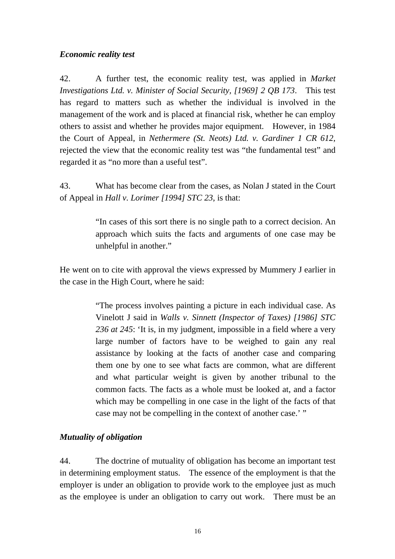#### <span id="page-18-0"></span>*Economic reality test*

42. A further test, the economic reality test, was applied in *Market Investigations Ltd. v. Minister of Social Security, [1969] 2 QB 173*. This test has regard to matters such as whether the individual is involved in the management of the work and is placed at financial risk, whether he can employ others to assist and whether he provides major equipment. However, in 1984 the Court of Appeal, in *Nethermere (St. Neots) Ltd. v. Gardiner 1 CR 612*, rejected the view that the economic reality test was "the fundamental test" and regarded it as "no more than a useful test".

43. What has become clear from the cases, as Nolan J stated in the Court of Appeal in *Hall v. Lorimer [1994] STC 23*, is that:

> "In cases of this sort there is no single path to a correct decision. An approach which suits the facts and arguments of one case may be unhelpful in another."

He went on to cite with approval the views expressed by Mummery J earlier in the case in the High Court, where he said:

> "The process involves painting a picture in each individual case. As Vinelott J said in *Walls v. Sinnett (Inspector of Taxes) [1986] STC 236 at 245*: 'It is, in my judgment, impossible in a field where a very large number of factors have to be weighed to gain any real assistance by looking at the facts of another case and comparing them one by one to see what facts are common, what are different and what particular weight is given by another tribunal to the common facts. The facts as a whole must be looked at, and a factor which may be compelling in one case in the light of the facts of that case may not be compelling in the context of another case.' "

#### *Mutuality of obligation*

44. The doctrine of mutuality of obligation has become an important test in determining employment status. The essence of the employment is that the employer is under an obligation to provide work to the employee just as much as the employee is under an obligation to carry out work. There must be an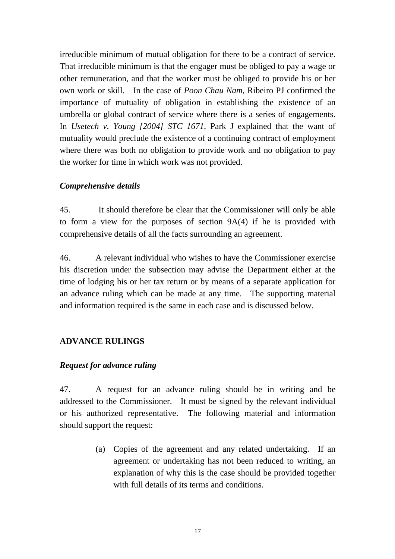irreducible minimum of mutual obligation for there to be a contract of service. That irreducible minimum is that the engager must be obliged to pay a wage or other remuneration, and that the worker must be obliged to provide his or her own work or skill. In the case of *Poon Chau Nam*, Ribeiro PJ confirmed the importance of mutuality of obligation in establishing the existence of an umbrella or global contract of service where there is a series of engagements. In *Usetech v. Young [2004] STC 1671*, Park J explained that the want of mutuality would preclude the existence of a continuing contract of employment where there was both no obligation to provide work and no obligation to pay the worker for time in which work was not provided.

#### *Comprehensive details*

45. It should therefore be clear that the Commissioner will only be able to form a view for the purposes of section 9A(4) if he is provided with comprehensive details of all the facts surrounding an agreement.

46. A relevant individual who wishes to have the Commissioner exercise his discretion under the subsection may advise the Department either at the time of lodging his or her tax return or by means of a separate application for an advance ruling which can be made at any time. The supporting material and information required is the same in each case and is discussed below.

#### **ADVANCE RULINGS**

#### *Request for advance ruling*

47. A request for an advance ruling should be in writing and be addressed to the Commissioner. It must be signed by the relevant individual or his authorized representative. The following material and information should support the request:

> (a) Copies of the agreement and any related undertaking. If an agreement or undertaking has not been reduced to writing, an explanation of why this is the case should be provided together with full details of its terms and conditions.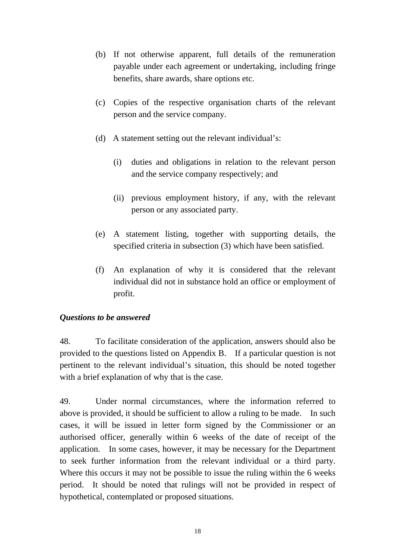- <span id="page-20-0"></span>(b) If not otherwise apparent, full details of the remuneration payable under each agreement or undertaking, including fringe benefits, share awards, share options etc.
- (c) Copies of the respective organisation charts of the relevant person and the service company.
- (d) A statement setting out the relevant individual's:
	- (i) duties and obligations in relation to the relevant person and the service company respectively; and
	- (ii) previous employment history, if any, with the relevant person or any associated party.
- (e) A statement listing, together with supporting details, the specified criteria in subsection (3) which have been satisfied.
- (f) An explanation of why it is considered that the relevant individual did not in substance hold an office or employment of profit.

#### *Questions to be answered*

48. To facilitate consideration of the application, answers should also be provided to the questions listed on Appendix B. If a particular question is not pertinent to the relevant individual's situation, this should be noted together with a brief explanation of why that is the case.

49. Under normal circumstances, where the information referred to above is provided, it should be sufficient to allow a ruling to be made. In such cases, it will be issued in letter form signed by the Commissioner or an authorised officer, generally within 6 weeks of the date of receipt of the application. In some cases, however, it may be necessary for the Department to seek further information from the relevant individual or a third party. Where this occurs it may not be possible to issue the ruling within the 6 weeks period. It should be noted that rulings will not be provided in respect of hypothetical, contemplated or proposed situations.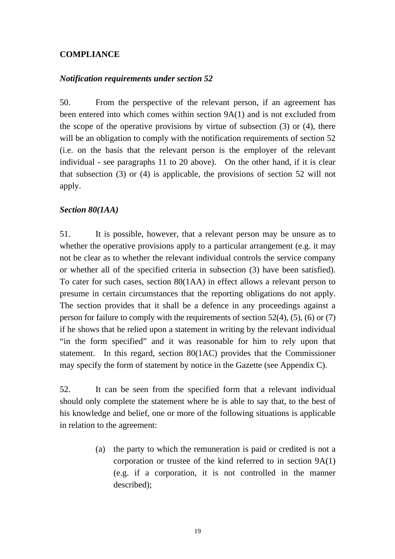#### **COMPLIANCE**

#### *Notification requirements under section 52*

50. From the perspective of the relevant person, if an agreement has been entered into which comes within section 9A(1) and is not excluded from the scope of the operative provisions by virtue of subsection (3) or (4), there will be an obligation to comply with the notification requirements of section 52 (i.e. on the basis that the relevant person is the employer of the relevant individual - see paragraphs 11 to 20 above). On the other hand, if it is clear that subsection (3) or (4) is applicable, the provisions of section 52 will not apply.

#### *Section 80(1AA)*

51. It is possible, however, that a relevant person may be unsure as to whether the operative provisions apply to a particular arrangement (e.g. it may not be clear as to whether the relevant individual controls the service company or whether all of the specified criteria in subsection (3) have been satisfied). To cater for such cases, section 80(1AA) in effect allows a relevant person to presume in certain circumstances that the reporting obligations do not apply. The section provides that it shall be a defence in any proceedings against a person for failure to comply with the requirements of section 52(4), (5), (6) or (7) if he shows that he relied upon a statement in writing by the relevant individual "in the form specified" and it was reasonable for him to rely upon that statement. In this regard, section 80(1AC) provides that the Commissioner may specify the form of statement by notice in the Gazette (see Appendix C).

52. It can be seen from the specified form that a relevant individual should only complete the statement where he is able to say that, to the best of his knowledge and belief, one or more of the following situations is applicable in relation to the agreement:

> (a) the party to which the remuneration is paid or credited is not a corporation or trustee of the kind referred to in section 9A(1) (e.g. if a corporation, it is not controlled in the manner described);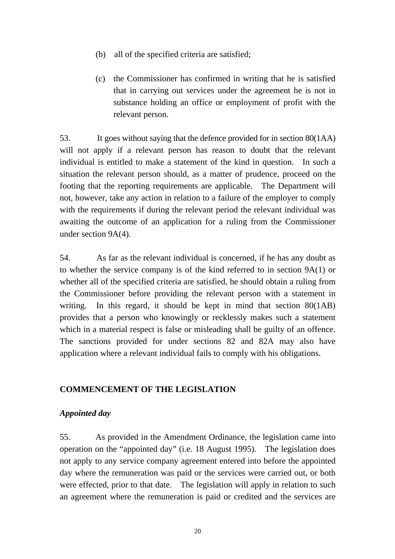- <span id="page-22-0"></span>(b) all of the specified criteria are satisfied;
- (c) the Commissioner has confirmed in writing that he is satisfied that in carrying out services under the agreement he is not in substance holding an office or employment of profit with the relevant person.

53 It goes without saying that the defence provided for in section 80(1AA) will not apply if a relevant person has reason to doubt that the relevant individual is entitled to make a statement of the kind in question. In such a situation the relevant person should, as a matter of prudence, proceed on the footing that the reporting requirements are applicable. The Department will not, however, take any action in relation to a failure of the employer to comply with the requirements if during the relevant period the relevant individual was awaiting the outcome of an application for a ruling from the Commissioner under section 9A(4).

54. As far as the relevant individual is concerned, if he has any doubt as to whether the service company is of the kind referred to in section 9A(1) or whether all of the specified criteria are satisfied, he should obtain a ruling from the Commissioner before providing the relevant person with a statement in writing. In this regard, it should be kept in mind that section 80(1AB) provides that a person who knowingly or recklessly makes such a statement which in a material respect is false or misleading shall be guilty of an offence. The sanctions provided for under sections 82 and 82A may also have application where a relevant individual fails to comply with his obligations.

# **COMMENCEMENT OF THE LEGISLATION**

#### *Appointed day*

 operation on the "appointed day" (i.e. 18 August 1995). The legislation does 55. As provided in the Amendment Ordinance, the legislation came into not apply to any service company agreement entered into before the appointed day where the remuneration was paid or the services were carried out, or both were effected, prior to that date. The legislation will apply in relation to such an agreement where the remuneration is paid or credited and the services are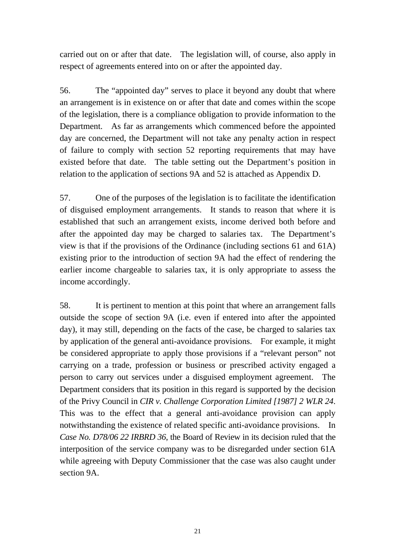<span id="page-23-0"></span>carried out on or after that date. The legislation will, of course, also apply in respect of agreements entered into on or after the appointed day.

56. The "appointed day" serves to place it beyond any doubt that where an arrangement is in existence on or after that date and comes within the scope of the legislation, there is a compliance obligation to provide information to the Department. As far as arrangements which commenced before the appointed day are concerned, the Department will not take any penalty action in respect of failure to comply with section 52 reporting requirements that may have existed before that date. The table setting out the Department's position in relation to the application of sections 9A and 52 is attached as Appendix D.

57. One of the purposes of the legislation is to facilitate the identification of disguised employment arrangements. It stands to reason that where it is established that such an arrangement exists, income derived both before and after the appointed day may be charged to salaries tax. The Department's view is that if the provisions of the Ordinance (including sections 61 and 61A) existing prior to the introduction of section 9A had the effect of rendering the earlier income chargeable to salaries tax, it is only appropriate to assess the income accordingly.

 by application of the general anti-avoidance provisions. For example, it might 58. It is pertinent to mention at this point that where an arrangement falls outside the scope of section 9A (i.e. even if entered into after the appointed day), it may still, depending on the facts of the case, be charged to salaries tax be considered appropriate to apply those provisions if a "relevant person" not carrying on a trade, profession or business or prescribed activity engaged a person to carry out services under a disguised employment agreement. The Department considers that its position in this regard is supported by the decision of the Privy Council in *CIR v. Challenge Corporation Limited [1987] 2 WLR 24*. This was to the effect that a general anti-avoidance provision can apply notwithstanding the existence of related specific anti-avoidance provisions. In *Case No. D78/06 22 IRBRD 36*, the Board of Review in its decision ruled that the interposition of the service company was to be disregarded under section 61A while agreeing with Deputy Commissioner that the case was also caught under section 9A.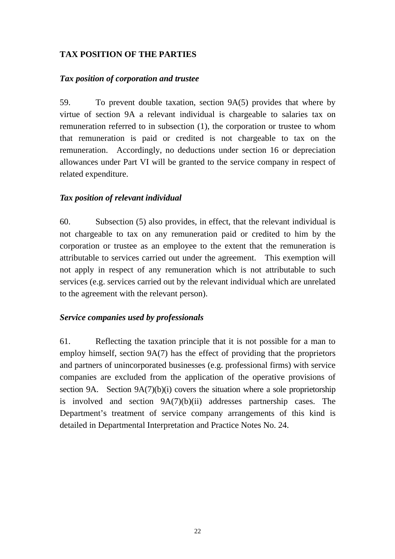# <span id="page-24-0"></span>**TAX POSITION OF THE PARTIES**

#### *Tax position of corporation and trustee*

59. To prevent double taxation, section 9A(5) provides that where by virtue of section 9A a relevant individual is chargeable to salaries tax on remuneration referred to in subsection (1), the corporation or trustee to whom that remuneration is paid or credited is not chargeable to tax on the remuneration. Accordingly, no deductions under section 16 or depreciation allowances under Part VI will be granted to the service company in respect of related expenditure.

#### *Tax position of relevant individual*

60. Subsection (5) also provides, in effect, that the relevant individual is not chargeable to tax on any remuneration paid or credited to him by the corporation or trustee as an employee to the extent that the remuneration is attributable to services carried out under the agreement. This exemption will not apply in respect of any remuneration which is not attributable to such services (e.g. services carried out by the relevant individual which are unrelated to the agreement with the relevant person).

#### *Service companies used by professionals*

61. Reflecting the taxation principle that it is not possible for a man to employ himself, section 9A(7) has the effect of providing that the proprietors and partners of unincorporated businesses (e.g. professional firms) with service companies are excluded from the application of the operative provisions of section 9A. Section 9A(7)(b)(i) covers the situation where a sole proprietorship is involved and section 9A(7)(b)(ii) addresses partnership cases. The Department's treatment of service company arrangements of this kind is detailed in Departmental Interpretation and Practice Notes No. 24.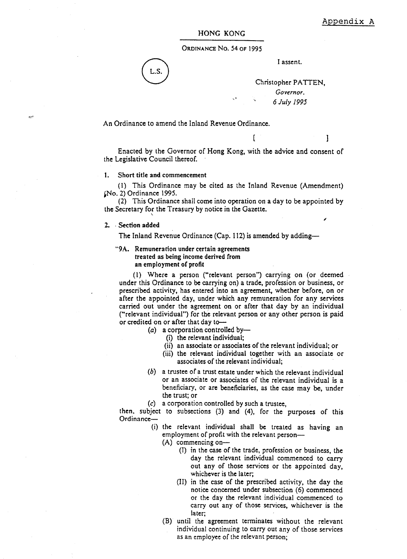1

#### HONG KONG

ORDINANCE No. 54 OF 1995

L.S

I assent.

Christopher PATTEN. Governor. 6 July 1995

An Ordinance to amend the Inland Revenue Ordinance.

Enacted by the Governor of Hong Kong, with the advice and consent of the Legislative Council thereof.

 $\mathsf{I}$ 

#### 1. Short title and commencement

(1) This Ordinance may be cited as the Inland Revenue (Amendment) (No. 2) Ordinance 1995.

(2) This Ordinance shall come into operation on a day to be appointed by the Secretary for the Treasury by notice in the Gazette.

#### 2. Section added

The Inland Revenue Ordinance (Cap. 112) is amended by adding-

#### "9A. Remuneration under certain agreements treated as being income derived from an employment of profit

(1) Where a person ("relevant person") carrying on (or deemed under this Ordinance to be carrying on) a trade, profession or business, or prescribed activity, has entered into an agreement, whether before, on or after the appointed day, under which any remuneration for any services carried out under the agreement on or after that day by an individual ("relevant individual") for the relevant person or any other person is paid or credited on or after that day to-

(a) a corporation controlled by-

- (i) the relevant individual;
- (ii) an associate or associates of the relevant individual; or
- (iii) the relevant individual together with an associate or associates of the relevant individual;
- (b) a trustee of a trust estate under which the relevant individual or an associate or associates of the relevant individual is a beneficiary, or are beneficiaries, as the case may be, under the trust: or
- (c) a corporation controlled by such a trustee,

then, subject to subsections (3) and (4), for the purposes of this Ordinance-

> (i) the relevant individual shall be treated as having an employment of profit with the relevant person-

 $(A)$  commencing on-

- (I) in the case of the trade, profession or business, the day the relevant individual commenced to carry out any of those services or the appointed day, whichever is the later;
- (II) in the case of the prescribed activity, the day the notice concerned under subsection (6) commenced or the day the relevant individual commenced to carry out any of those services, whichever is the later:
- (B) until the agreement terminates without the relevant individual continuing to carry out any of those services as an employee of the relevant person;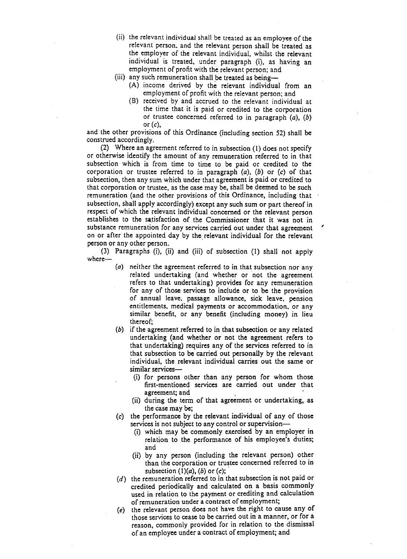- (ii) the relevant individual shall be treated as an employee of the relevant person, and the relevant person shall be treated as the employer of the relevant individual, whilst the relevant individual is treated, under paragraph (i), as having an employment of profit with the relevant person; and
- (iii) any such remuneration shall be treated as being-
	- (A) income derived by the relevant individual from an employment of profit with the relevant person; and
	- (B) received by and accrued to the relevant individual at the time that it is paid or credited to the corporation or trustee concerned referred to in paragraph  $(a)$ ,  $(b)$ or  $(c)$ ,

and the other provisions of this Ordinance (including section 52) shall be construed accordingly.

(2) Where an agreement referred to in subsection (1) does not specify or otherwise identify the amount of any remuneration referred to in that subsection which is from time to time to be paid or credited to the corporation or trustee referred to in paragraph  $(a)$ ,  $(b)$  or  $(c)$  of that subsection, then any sum which under that agreement is paid or credited to that corporation or trustee, as the case may be, shall be deemed to be such remuneration (and the other provisions of this Ordinance, including that subsection, shall apply accordingly) except any such sum or part thereof in respect of which the relevant individual concerned or the relevant person establishes to the satisfaction of the Commissioner that it was not in substance remuneration for any services carried out under that agreement on or after the appointed day by the relevant individual for the relevant person or any other person.

(3) Paragraphs (i), (ii) and (iii) of subsection (1) shall not apply  $where-$ 

- (a) neither the agreement referred to in that subsection nor any related undertaking (and whether or not the agreement refers to that undertaking) provides for any remuneration for any of those services to include or to be the provision of annual leave, passage allowance, sick leave, pension entitlements, medical payments or accommodation, or any similar benefit, or any benefit (including money) in lieu thereof:
- (b) if the agreement referred to in that subsection or any related undertaking (and whether or not the agreement refers to that undertaking) requires any of the services referred to in that subsection to be carried out personally by the relevant individual, the relevant individual carries out the same or similar services—
	- (i) for persons other than any person for whom those first-mentioned services are carried out under that agreement; and
	- (ii) during the term of that agreement or undertaking, as the case may be:
- (c) the performance by the relevant individual of any of those services is not subject to any control or supervision-
	- (i) which may be commonly exercised by an employer in relation to the performance of his employee's duties; and
	- (ii) by any person (including the relevant person) other than the corporation or trustee concerned referred to in subsection  $(1)(a)$ ,  $(b)$  or  $(c)$ ;
- $(d)$  the remuneration referred to in that subsection is not paid or credited periodically and calculated on a basis commonly used in relation to the payment or crediting and calculation of remuneration under a contract of employment;
- (e) the relevant person does not have the right to cause any of those services to cease to be carried out in a manner, or for a reason, commonly provided for in relation to the dismissal of an employee under a contract of employment; and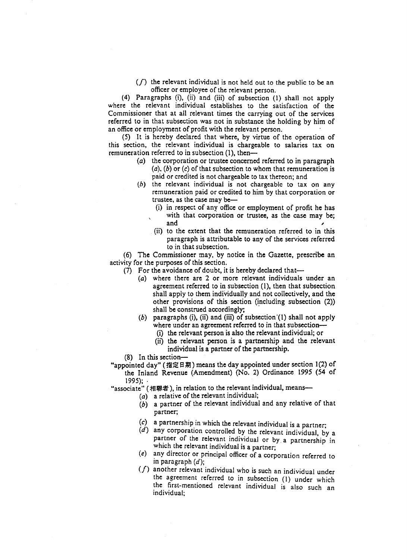$(f)$  the relevant individual is not held out to the public to be an officer or employee of the relevant person.

(4) Paragraphs (i), (ii) and (iii) of subsection (1) shall not apply where the relevant individual establishes to the satisfaction of the Commissioner that at all relevant times the carrying out of the services referred to in that subsection was not in substance the holding by him of an office or employment of profit with the relevant person.

(5) It is hereby declared that where, by virtue of the operation of this section, the relevant individual is chargeable to salaries tax on remuneration referred to in subsection  $(1)$ , then—

- (a) the corporation or trustee concerned referred to in paragraph  $(a)$ ,  $(b)$  or  $(c)$  of that subsection to whom that remuneration is paid or credited is not chargeable to tax thereon; and
- $(b)$  the relevant individual is not chargeable to tax on any remuneration paid or credited to him by that corporation or trustee, as the case may be-
	- (i) in respect of any office or employment of profit he has with that corporation or trustee, as the case may be; and
	- (ii) to the extent that the remuneration referred to in this paragraph is attributable to any of the services referred to in that subsection.

(6) The Commissioner may, by notice in the Gazette, prescribe an activity for the purposes of this section.

- (7) For the avoidance of doubt, it is hereby declared that-
	- (a) where there are 2 or more relevant individuals under an agreement referred to in subsection (1), then that subsection shall apply to them individually and not collectively, and the other provisions of this section (including subsection (2)) shall be construed accordingly;
	- $(b)$  paragraphs (i), (ii) and (iii) of subsection (1) shall not apply where under an agreement referred to in that subsection-
		- (i) the relevant person is also the relevant individual; or
		- (ii) the relevant person is a partnership and the relevant individual is a partner of the partnership.
- $(8)$  In this section-

"appointed day" (指定日期) means the day appointed under section 1(2) of the Inland Revenue (Amendment) (No. 2) Ordinance 1995 (54 of  $1995$ :  $\cdot$ 

"associate" (相聯者), in relation to the relevant individual, means-

- ( $a$ ) a relative of the relevant individual;
- $(b)$  a partner of the relevant individual and any relative of that partner;
- (c) a partnership in which the relevant individual is a partner;
- $(d)$  any corporation controlled by the relevant individual, by a partner of the relevant individual or by a partnership in which the relevant individual is a partner;
- (e) any director or principal officer of a corporation referred to in paragraph  $(d)$ :
- $(f)$  another relevant individual who is such an individual under the agreement referred to in subsection (1) under which the first-mentioned relevant individual is also such an individual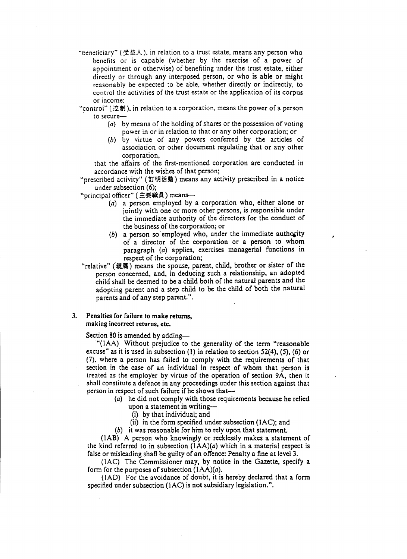"beneticiary" (受益人), in relation to a trust estate, means any person who benefits or is capable (whether by the exercise of a power of appointment or otherwise) of benefiting under the trust estate, either directly or through any interposed person, or who is able or might reasonably be expected to be able, whether directly or indirectly, to control the activities of the trust estate or the application of its corpus or income:

"control" (控制), in relation to a corporation, means the power of a person to secure-

- (a) by means of the holding of shares or the possession of voting power in or in relation to that or any other corporation; or
- (b) by virtue of any powers conferred by the articles of association or other document regulating that or any other corporation,

that the affairs of the first-mentioned corporation are conducted in accordance with the wishes of that person;

"prescribed activity" (訂明活動) means any activity prescribed in a notice under subsection  $(6)$ ;

"principal officer" (主要職員) means-

- (a) a person employed by a corporation who, either alone or jointly with one or more other persons, is responsible under the immediate authority of the directors for the conduct of the business of the corporation; or
- (b) a person so employed who, under the immediate authority of a director of the corporation or a person to whom paragraph (a) applies, exercises managerial functions in respect of the corporation;
- "relative" (親屬) means the spouse, parent, child, brother or sister of the person concerned, and, in deducing such a relationship, an adopted child shall be deemed to be a child both of the natural parents and the adopting parent and a step child to be the child of both the natural parents and of any step parent.".

#### $3.$ Penalties for failure to make returns. making incorrect returns, etc.

Section 80 is amended by adding-

"(IAA) Without prejudice to the generality of the term "reasonable" excuse" as it is used in subsection (1) in relation to section  $52(4)$ , (5), (6) or (7), where a person has failed to comply with the requirements of that section in the case of an individual in respect of whom that person is treated as the employer by virtue of the operation of section 9A, then it shall constitute a defence in any proceedings under this section against that person in respect of such failure if he shows that--

- (a) he did not comply with those requirements because he relied
	- upon a statement in writing-
	- (i) by that individual; and
	- (ii) in the form specified under subsection (1AC); and

(b) it was reasonable for him to rely upon that statement.

(1AB) A person who knowingly or recklessly makes a statement of the kind referred to in subsection  $(1AA)(a)$  which in a material respect is false or misleading shall be guilty of an offence: Penalty a fine at level 3.

(1AC) The Commissioner may, by notice in the Gazette, specify a form for the purposes of subsection  $(IAA)(a)$ .

(IAD) For the avoidance of doubt, it is hereby declared that a form specified under subsection (IAC) is not subsidiary legislation.".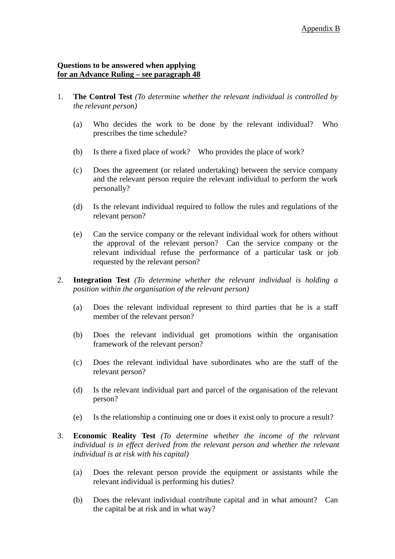#### **Questions to be answered when applying for an Advance Ruling – see paragraph 48**

- 1. **The Control Test** *(To determine whether the relevant individual is controlled by the relevant person)* 
	- (a) Who decides the work to be done by the relevant individual? Who prescribes the time schedule?
	- (b) Is there a fixed place of work? Who provides the place of work?
	- (c) Does the agreement (or related undertaking) between the service company and the relevant person require the relevant individual to perform the work personally?
	- (d) Is the relevant individual required to follow the rules and regulations of the relevant person?
	- (e) Can the service company or the relevant individual work for others without the approval of the relevant person? Can the service company or the relevant individual refuse the performance of a particular task or job requested by the relevant person?
- 2. **Integration Test** *(To determine whether the relevant individual is holding a position within the organisation of the relevant person)* 
	- (a) Does the relevant individual represent to third parties that he is a staff member of the relevant person?
	- (b) Does the relevant individual get promotions within the organisation framework of the relevant person?
	- (c) Does the relevant individual have subordinates who are the staff of the relevant person?
	- (d) Is the relevant individual part and parcel of the organisation of the relevant person?
	- (e) Is the relationship a continuing one or does it exist only to procure a result?
- 3. **Economic Reality Test** *(To determine whether the income of the relevant*  individual is in effect derived from the relevant person and whether the relevant *individual is at risk with his capital)* 
	- (a) Does the relevant person provide the equipment or assistants while the relevant individual is performing his duties?
	- (b) Does the relevant individual contribute capital and in what amount? Can the capital be at risk and in what way?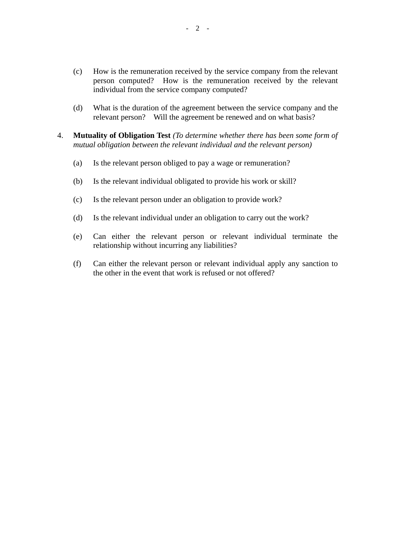- (c) How is the remuneration received by the service company from the relevant person computed? How is the remuneration received by the relevant individual from the service company computed?
- (d) What is the duration of the agreement between the service company and the relevant person? Will the agreement be renewed and on what basis?
- 4. **Mutuality of Obligation Test** *(To determine whether there has been some form of mutual obligation between the relevant individual and the relevant person)* 
	- (a) Is the relevant person obliged to pay a wage or remuneration?
	- (b) Is the relevant individual obligated to provide his work or skill?
	- (c) Is the relevant person under an obligation to provide work?
	- (d) Is the relevant individual under an obligation to carry out the work?
	- (e) Can either the relevant person or relevant individual terminate the relationship without incurring any liabilities?
	- (f) Can either the relevant person or relevant individual apply any sanction to the other in the event that work is refused or not offered?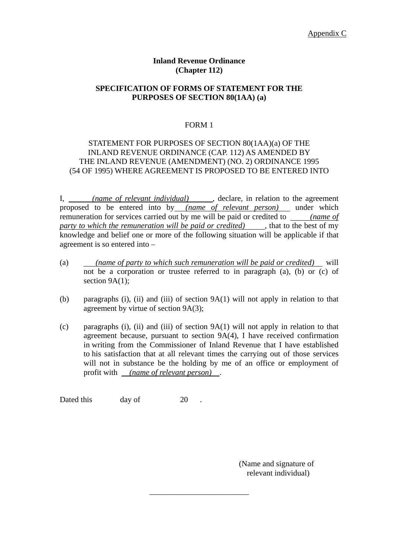#### **Inland Revenue Ordinance (Chapter 112)**

#### **SPECIFICATION OF FORMS OF STATEMENT FOR THE PURPOSES OF SECTION 80(1AA) (a)**

#### FORM 1

#### STATEMENT FOR PURPOSES OF SECTION 80(1AA)(a) OF THE INLAND REVENUE ORDINANCE (CAP. 112) AS AMENDED BY THE INLAND REVENUE (AMENDMENT) (NO. 2) ORDINANCE 1995 (54 OF 1995) WHERE AGREEMENT IS PROPOSED TO BE ENTERED INTO

I, *(name of relevant individual)* , declare, in relation to the agreement proposed to be entered into by *(name of relevant person)* under which remuneration for services carried out by me will be paid or credited to *(name of party to which the remuneration will be paid or credited)* , that to the best of my knowledge and belief one or more of the following situation will be applicable if that agreement is so entered into –

- $\overline{a}$ (a) *(name of party to which such remuneration will be paid or credited)* will not be a corporation or trustee referred to in paragraph (a), (b) or (c) of section  $9A(1)$ ;
- (b) paragraphs (i), (ii) and (iii) of section 9A(1) will not apply in relation to that agreement by virtue of section 9A(3);
- profit with *(name of relevant person)* . (c) paragraphs (i), (ii) and (iii) of section 9A(1) will not apply in relation to that agreement because, pursuant to section 9A(4), I have received confirmation in writing from the Commissioner of Inland Revenue that I have established to his satisfaction that at all relevant times the carrying out of those services will not in substance be the holding by me of an office or employment of

\_\_\_\_\_\_\_\_\_\_\_\_\_\_\_\_\_\_\_\_\_\_\_\_\_

Dated this day of 20.

(Name and signature of relevant individual)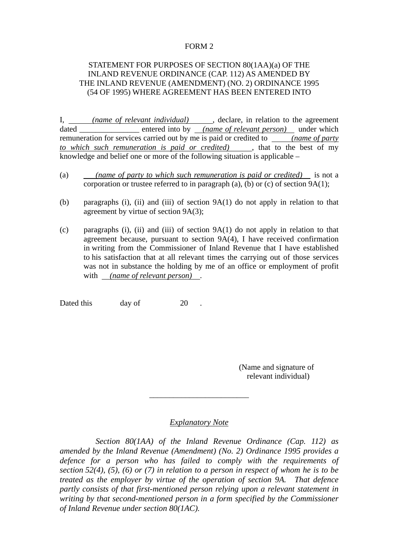#### FORM 2

#### STATEMENT FOR PURPOSES OF SECTION 80(1AA)(a) OF THE INLAND REVENUE ORDINANCE (CAP. 112) AS AMENDED BY THE INLAND REVENUE (AMENDMENT) (NO. 2) ORDINANCE 1995 (54 OF 1995) WHERE AGREEMENT HAS BEEN ENTERED INTO

I, *(name of relevant individual)*, declare, in relation to the agreement dated \_\_\_\_\_\_\_\_\_\_\_\_\_\_\_ entered into by *(name of relevant person)* under which remuneration for services carried out by me is paid or credited to *(name of party to which such remuneration is paid or credited)* , that to the best of my knowledge and belief one or more of the following situation is applicable –

- (a) *(name of party to which such remuneration is paid or credited)* is not a corporation or trustee referred to in paragraph (a), (b) or (c) of section 9A(1);
- (b) paragraphs (i), (ii) and (iii) of section 9A(1) do not apply in relation to that agreement by virtue of section 9A(3);
- with *(name of relevant person)* . (c) paragraphs (i), (ii) and (iii) of section 9A(1) do not apply in relation to that agreement because, pursuant to section 9A(4), I have received confirmation in writing from the Commissioner of Inland Revenue that I have established to his satisfaction that at all relevant times the carrying out of those services was not in substance the holding by me of an office or employment of profit

Dated this day of 20 .

(Name and signature of relevant individual)

#### *Explanatory Note*

\_\_\_\_\_\_\_\_\_\_\_\_\_\_\_\_\_\_\_\_\_\_\_\_\_

*Section 80(1AA) of the Inland Revenue Ordinance (Cap. 112) as amended by the Inland Revenue (Amendment) (No. 2) Ordinance 1995 provides a defence for a person who has failed to comply with the requirements of section 52(4), (5), (6) or (7) in relation to a person in respect of whom he is to be treated as the employer by virtue of the operation of section 9A. That defence partly consists of that first-mentioned person relying upon a relevant statement in writing by that second-mentioned person in a form specified by the Commissioner of Inland Revenue under section 80(1AC).*